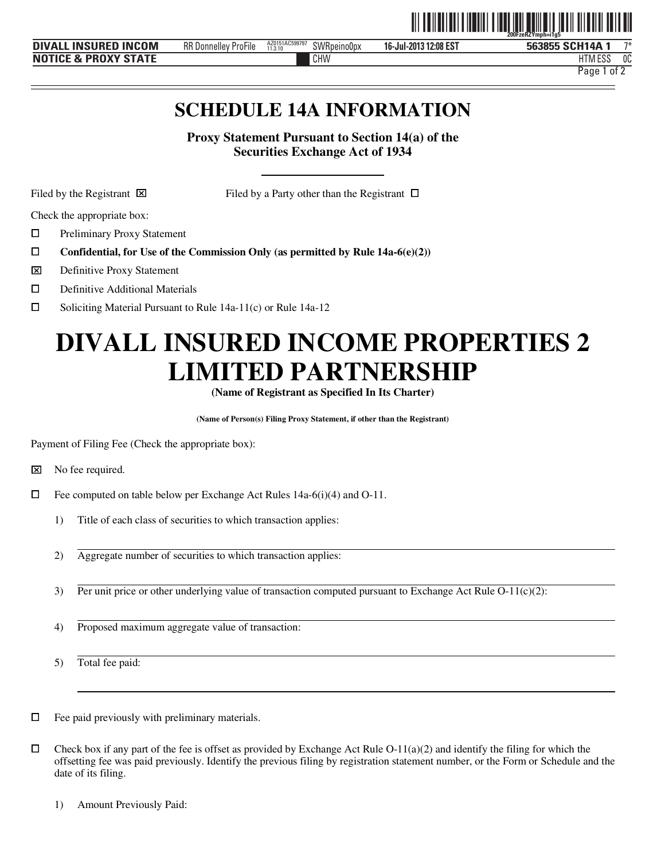|                                                |                                                |                           |             | - - -  -- . -- . - .----- . - .--- | 200FzeRZYmph=i1a5               |              |
|------------------------------------------------|------------------------------------------------|---------------------------|-------------|------------------------------------|---------------------------------|--------------|
| <b>INCOM</b><br><b>INSURED</b><br><b>DIVAL</b> | RR D<br>$-1$<br><br>: ProFile<br>. Donnellev ' | AZ0151AC599797<br>11.3.10 | SWRpeino0px | 312:08 EST<br>16-Jul-2013          | i SCH14A<br>563855              | 一下半          |
| <b>PROXY STATE</b><br><b>NOT</b><br>₹ &        |                                                |                           | CHW         |                                    | $-$ no<br>ШT<br><b>LIME</b> COP | $\sim$<br>υu |

Page 1 of 2

ˆ200FzeRZYmph=i1g5Š

# **SCHEDULE 14A INFORMATION**

**Proxy Statement Pursuant to Section 14(a) of the Securities Exchange Act of 1934** 

j

Filed by the Registrant  $\boxtimes$  Filed by a Party other than the Registrant  $\Box$ 

Check the appropriate box:

ם<br>ם Preliminary Proxy Statement

- **Confidential, for Use of the Commission Only (as permitted by Rule 14a-6(e)(2))**
- $\overline{\mathbf{x}}$ **⊠** Definitive Proxy Statement<br>□ Definitive Additional Mate
- Definitive Additional Materials
- $\Box$ Soliciting Material Pursuant to Rule 14a-11(c) or Rule 14a-12

# **DIVALL INSURED INCOME PROPERTIES 2 LIMITED PARTNERSHIP**

**(Name of Registrant as Specified In Its Charter)** 

**(Name of Person(s) Filing Proxy Statement, if other than the Registrant)** 

Payment of Filing Fee (Check the appropriate box):

- $\Box$  Fee computed on table below per Exchange Act Rules 14a-6(i)(4) and O-11.
	- 1) Title of each class of securities to which transaction applies:
	- 2) Aggregate number of securities to which transaction applies:
	- 3) Per unit price or other underlying value of transaction computed pursuant to Exchange Act Rule  $O-11(c)(2)$ :
	- 4) Proposed maximum aggregate value of transaction:

5) Total fee paid:

 $\Box$  Fee paid previously with preliminary materials.

 $\Box$  Check box if any part of the fee is offset as provided by Exchange Act Rule O-11(a)(2) and identify the filing for which the offsetting fee was paid previously. Identify the previous filing by registration statement number, or the Form or Schedule and the date of its filing.

1) Amount Previously Paid:

<sup>⌧</sup> No fee required.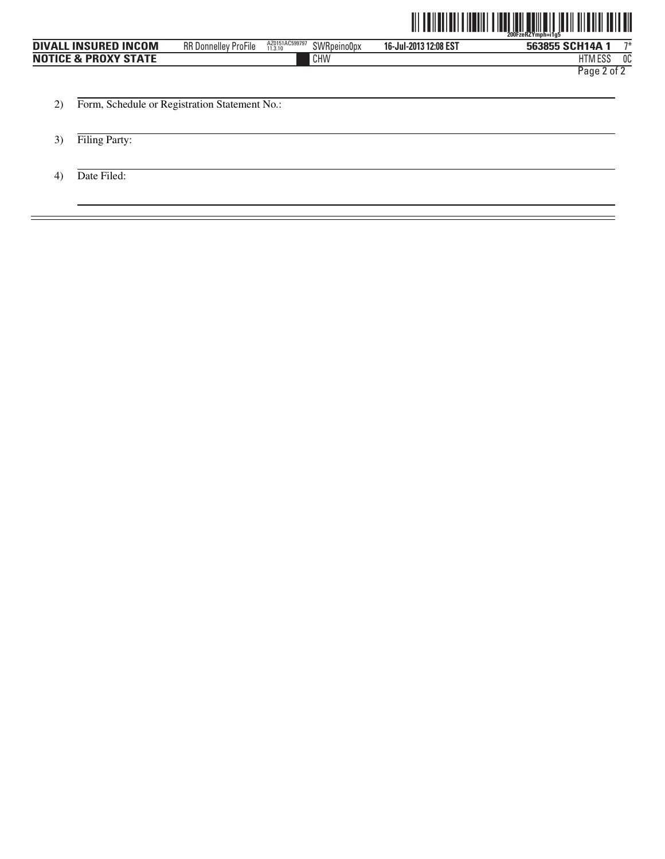

|                                 |                             |                           |             |                       | <u> ITIN ANIT TILIT INI ANIT TILIT IN ANIT TILIT AV</u><br>$200$ Fze $RZY$ mph=i1a5 |
|---------------------------------|-----------------------------|---------------------------|-------------|-----------------------|-------------------------------------------------------------------------------------|
| <b>DIVALL INSURED INCOM</b>     | <b>RR Donnelley ProFile</b> | AZ0151AC599797<br>11.3.10 | SWRpeino0px | 16-Jul-2013 12:08 EST | $7*$<br>563855 SCH14A 1                                                             |
| <b>NOTICE &amp; PROXY STATE</b> |                             | CHW                       |             |                       | <b>HTM ESS</b><br>0C                                                                |
|                                 |                             |                           |             |                       | Page 2 of 2                                                                         |

2) Form, Schedule or Registration Statement No.:

- 3) Filing Party:
- 4) Date Filed: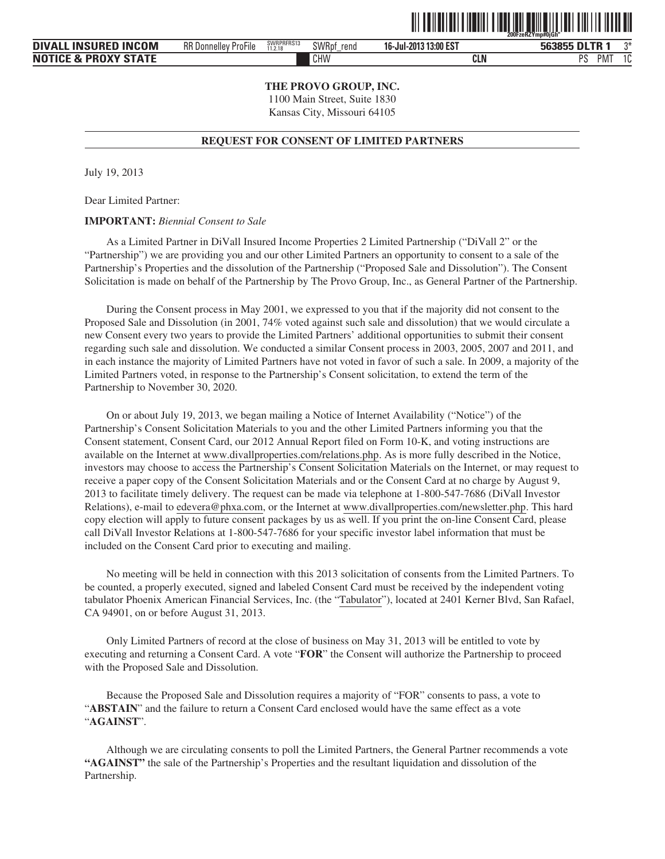|      |                             |                       |                      |                       | <u>. 111   111   111   111   111   111   111   111   111   111   111   111   111   111   111   111   111   111</u><br>200FzeRZYmn#OiGh |
|------|-----------------------------|-----------------------|----------------------|-----------------------|----------------------------------------------------------------------------------------------------------------------------------------|
| NCOM | <b>RR Donnelley ProFile</b> | SWRPRFRS13<br>11.2.18 | <b>SWRpf</b><br>rend | 16-Jul-2013 13:00 EST | 563855 DLTR 1                                                                                                                          |

TIT TERMETERI ETERMIN I TERMETERI ERITETI TERMETERI ILI ILI ILI ERI

**DIVALL INSURED IN NOTICE & PROXY STATE 16-Jul-2013 13:00 EST** CHW **CLN** PS PMT 1C 11.2.18

**THE PROVO GROUP, INC.**

1100 Main Street, Suite 1830 Kansas City, Missouri 64105

#### **REQUEST FOR CONSENT OF LIMITED PARTNERS**

July 19, 2013

Dear Limited Partner:

#### **IMPORTANT:** *Biennial Consent to Sale*

As a Limited Partner in DiVall Insured Income Properties 2 Limited Partnership ("DiVall 2" or the "Partnership") we are providing you and our other Limited Partners an opportunity to consent to a sale of the Partnership's Properties and the dissolution of the Partnership ("Proposed Sale and Dissolution"). The Consent Solicitation is made on behalf of the Partnership by The Provo Group, Inc., as General Partner of the Partnership.

During the Consent process in May 2001, we expressed to you that if the majority did not consent to the Proposed Sale and Dissolution (in 2001, 74% voted against such sale and dissolution) that we would circulate a new Consent every two years to provide the Limited Partners' additional opportunities to submit their consent regarding such sale and dissolution. We conducted a similar Consent process in 2003, 2005, 2007 and 2011, and in each instance the majority of Limited Partners have not voted in favor of such a sale. In 2009, a majority of the Limited Partners voted, in response to the Partnership's Consent solicitation, to extend the term of the Partnership to November 30, 2020.

On or about July 19, 2013, we began mailing a Notice of Internet Availability ("Notice") of the Partnership's Consent Solicitation Materials to you and the other Limited Partners informing you that the Consent statement, Consent Card, our 2012 Annual Report filed on Form 10-K, and voting instructions are available on the Internet at www.divallproperties.com/relations.php. As is more fully described in the Notice, investors may choose to access the Partnership's Consent Solicitation Materials on the Internet, or may request to receive a paper copy of the Consent Solicitation Materials and or the Consent Card at no charge by August 9, 2013 to facilitate timely delivery. The request can be made via telephone at 1-800-547-7686 (DiVall Investor Relations), e-mail to edevera@phxa.com, or the Internet at www.divallproperties.com/newsletter.php. This hard copy election will apply to future consent packages by us as well. If you print the on-line Consent Card, please call DiVall Investor Relations at 1-800-547-7686 for your specific investor label information that must be included on the Consent Card prior to executing and mailing.

No meeting will be held in connection with this 2013 solicitation of consents from the Limited Partners. To be counted, a properly executed, signed and labeled Consent Card must be received by the independent voting tabulator Phoenix American Financial Services, Inc. (the "Tabulator"), located at 2401 Kerner Blvd, San Rafael, CA 94901, on or before August 31, 2013.

Only Limited Partners of record at the close of business on May 31, 2013 will be entitled to vote by executing and returning a Consent Card. A vote "**FOR**" the Consent will authorize the Partnership to proceed with the Proposed Sale and Dissolution.

Because the Proposed Sale and Dissolution requires a majority of "FOR" consents to pass, a vote to "**ABSTAIN**" and the failure to return a Consent Card enclosed would have the same effect as a vote "**AGAINST**".

Although we are circulating consents to poll the Limited Partners, the General Partner recommends a vote **"AGAINST"** the sale of the Partnership's Properties and the resultant liquidation and dissolution of the Partnership.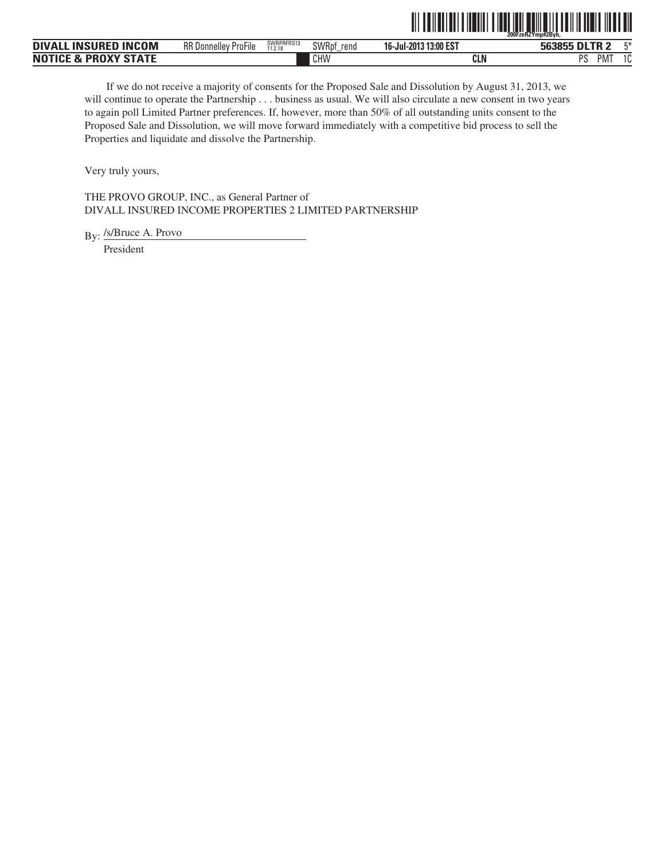

| <b>INCOM</b><br>INSURFD<br><b>DIVAL</b> | $-\cdot$ .<br><b>RR Donnelley</b><br>ProFile | SWRPRFRS13<br>11.2.18 | SWRpf<br>rend | J 13:00 EST<br>16-Jul-2013 | <b>DI TD</b><br>563855 | <b>FM</b><br>$-$                |
|-----------------------------------------|----------------------------------------------|-----------------------|---------------|----------------------------|------------------------|---------------------------------|
| <b>PROXY STATE</b><br><b>NOT</b><br>-74 |                                              |                       | CHW           | <b>CLN</b>                 | DС<br>PM.<br>л.        | $\overline{\phantom{0}}$<br>1 U |

If we do not receive a majority of consents for the Proposed Sale and Dissolution by August 31, 2013, we will continue to operate the Partnership . . . business as usual. We will also circulate a new consent in two years to again poll Limited Partner preferences. If, however, more than 50% of all outstanding units consent to the Proposed Sale and Dissolution, we will move forward immediately with a competitive bid process to sell the Properties and liquidate and dissolve the Partnership.

Very truly yours,

THE PROVO GROUP, INC., as General Partner of DIVALL INSURED INCOME PROPERTIES 2 LIMITED PARTNERSHIP

By: /s/Bruce A. Provo

President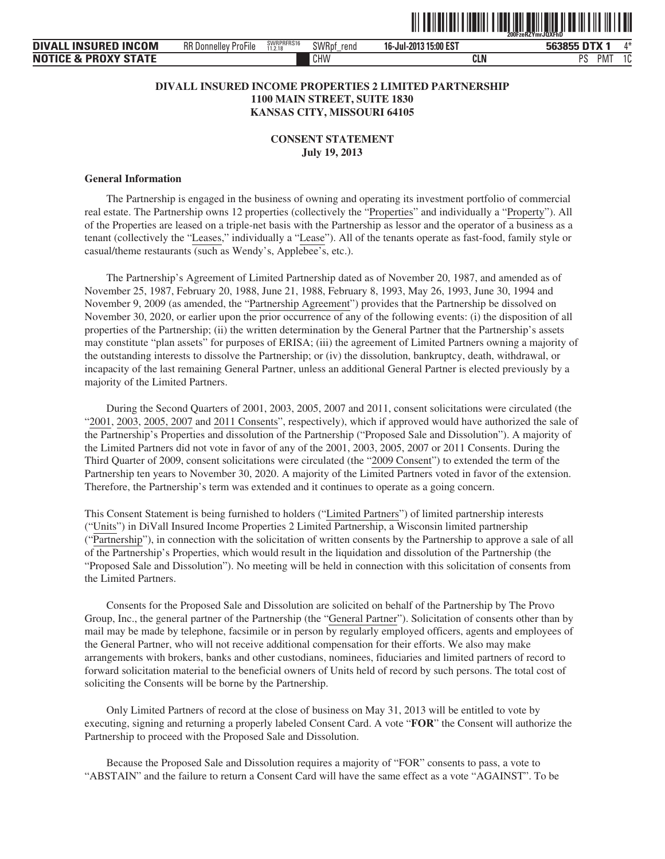

| . INSURED INCOM<br><b>DIVAL</b> | $- \cdot \cdot$<br><b>RR Donnelley</b><br>ProFile | SWRPRFRS16<br>11.2.18 | <b>SWRpt</b><br>rend | 16-Jul-2013 15:00 EST | <b>DTX</b><br>563855 | Л¥           |
|---------------------------------|---------------------------------------------------|-----------------------|----------------------|-----------------------|----------------------|--------------|
| <b>NOTICE &amp; PROXY STATE</b> |                                                   |                       | CHW                  | <b>CLN</b>            | DC<br><b>PM</b>      | $\sim$<br>ΙU |

# **DIVALL INSURED INCOME PROPERTIES 2 LIMITED PARTNERSHIP 1100 MAIN STREET, SUITE 1830 KANSAS CITY, MISSOURI 64105**

**CONSENT STATEMENT July 19, 2013**

#### **General Information**

The Partnership is engaged in the business of owning and operating its investment portfolio of commercial real estate. The Partnership owns 12 properties (collectively the "Properties" and individually a "Property"). All of the Properties are leased on a triple-net basis with the Partnership as lessor and the operator of a business as a tenant (collectively the "Leases," individually a "Lease"). All of the tenants operate as fast-food, family style or casual/theme restaurants (such as Wendy's, Applebee's, etc.).

The Partnership's Agreement of Limited Partnership dated as of November 20, 1987, and amended as of November 25, 1987, February 20, 1988, June 21, 1988, February 8, 1993, May 26, 1993, June 30, 1994 and November 9, 2009 (as amended, the "Partnership Agreement") provides that the Partnership be dissolved on November 30, 2020, or earlier upon the prior occurrence of any of the following events: (i) the disposition of all properties of the Partnership; (ii) the written determination by the General Partner that the Partnership's assets may constitute "plan assets" for purposes of ERISA; (iii) the agreement of Limited Partners owning a majority of the outstanding interests to dissolve the Partnership; or (iv) the dissolution, bankruptcy, death, withdrawal, or incapacity of the last remaining General Partner, unless an additional General Partner is elected previously by a majority of the Limited Partners.

During the Second Quarters of 2001, 2003, 2005, 2007 and 2011, consent solicitations were circulated (the "2001, 2003, 2005, 2007 and 2011 Consents", respectively), which if approved would have authorized the sale of the Partnership's Properties and dissolution of the Partnership ("Proposed Sale and Dissolution"). A majority of the Limited Partners did not vote in favor of any of the 2001, 2003, 2005, 2007 or 2011 Consents. During the Third Quarter of 2009, consent solicitations were circulated (the "2009 Consent") to extended the term of the Partnership ten years to November 30, 2020. A majority of the Limited Partners voted in favor of the extension. Therefore, the Partnership's term was extended and it continues to operate as a going concern.

This Consent Statement is being furnished to holders ("Limited Partners") of limited partnership interests ("Units") in DiVall Insured Income Properties 2 Limited Partnership, a Wisconsin limited partnership ("Partnership"), in connection with the solicitation of written consents by the Partnership to approve a sale of all of the Partnership's Properties, which would result in the liquidation and dissolution of the Partnership (the "Proposed Sale and Dissolution"). No meeting will be held in connection with this solicitation of consents from the Limited Partners.

Consents for the Proposed Sale and Dissolution are solicited on behalf of the Partnership by The Provo Group, Inc., the general partner of the Partnership (the "General Partner"). Solicitation of consents other than by mail may be made by telephone, facsimile or in person by regularly employed officers, agents and employees of the General Partner, who will not receive additional compensation for their efforts. We also may make arrangements with brokers, banks and other custodians, nominees, fiduciaries and limited partners of record to forward solicitation material to the beneficial owners of Units held of record by such persons. The total cost of soliciting the Consents will be borne by the Partnership.

Only Limited Partners of record at the close of business on May 31, 2013 will be entitled to vote by executing, signing and returning a properly labeled Consent Card. A vote "**FOR**" the Consent will authorize the Partnership to proceed with the Proposed Sale and Dissolution.

Because the Proposed Sale and Dissolution requires a majority of "FOR" consents to pass, a vote to "ABSTAIN" and the failure to return a Consent Card will have the same effect as a vote "AGAINST". To be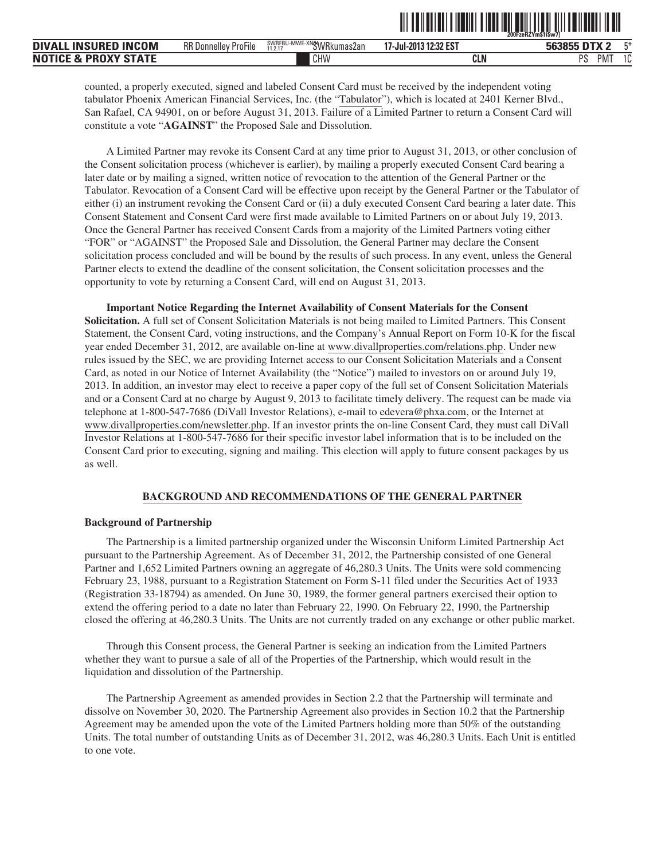|                                 |                             |                          |                       | I III IIII IIII<br>║║  |
|---------------------------------|-----------------------------|--------------------------|-----------------------|------------------------|
| <b>DIVALL INSURED INCOM</b>     | <b>RR Donnelley ProFile</b> | SWRFBU-MWE-XNGWRkumas2an | 17-Jul-2013 12:32 EST | $F^*$<br>563855 DTX 2  |
| <b>NOTICE &amp; PROXY STATE</b> |                             | CHW                      | CLN                   | <b>PMT</b><br>10<br>PS |

counted, a properly executed, signed and labeled Consent Card must be received by the independent voting tabulator Phoenix American Financial Services, Inc. (the "Tabulator"), which is located at 2401 Kerner Blvd., San Rafael, CA 94901, on or before August 31, 2013. Failure of a Limited Partner to return a Consent Card will constitute a vote "**AGAINST**" the Proposed Sale and Dissolution.

A Limited Partner may revoke its Consent Card at any time prior to August 31, 2013, or other conclusion of the Consent solicitation process (whichever is earlier), by mailing a properly executed Consent Card bearing a later date or by mailing a signed, written notice of revocation to the attention of the General Partner or the Tabulator. Revocation of a Consent Card will be effective upon receipt by the General Partner or the Tabulator of either (i) an instrument revoking the Consent Card or (ii) a duly executed Consent Card bearing a later date. This Consent Statement and Consent Card were first made available to Limited Partners on or about July 19, 2013. Once the General Partner has received Consent Cards from a majority of the Limited Partners voting either "FOR" or "AGAINST" the Proposed Sale and Dissolution, the General Partner may declare the Consent solicitation process concluded and will be bound by the results of such process. In any event, unless the General Partner elects to extend the deadline of the consent solicitation, the Consent solicitation processes and the opportunity to vote by returning a Consent Card, will end on August 31, 2013.

**Important Notice Regarding the Internet Availability of Consent Materials for the Consent Solicitation.** A full set of Consent Solicitation Materials is not being mailed to Limited Partners. This Consent Statement, the Consent Card, voting instructions, and the Company's Annual Report on Form 10-K for the fiscal year ended December 31, 2012, are available on-line at www.divallproperties.com/relations.php. Under new rules issued by the SEC, we are providing Internet access to our Consent Solicitation Materials and a Consent Card, as noted in our Notice of Internet Availability (the "Notice") mailed to investors on or around July 19, 2013. In addition, an investor may elect to receive a paper copy of the full set of Consent Solicitation Materials and or a Consent Card at no charge by August 9, 2013 to facilitate timely delivery. The request can be made via telephone at 1-800-547-7686 (DiVall Investor Relations), e-mail to edevera@phxa.com, or the Internet at www.divallproperties.com/newsletter.php. If an investor prints the on-line Consent Card, they must call DiVall Investor Relations at 1-800-547-7686 for their specific investor label information that is to be included on the Consent Card prior to executing, signing and mailing. This election will apply to future consent packages by us as well.

#### **BACKGROUND AND RECOMMENDATIONS OF THE GENERAL PARTNER**

#### **Background of Partnership**

The Partnership is a limited partnership organized under the Wisconsin Uniform Limited Partnership Act pursuant to the Partnership Agreement. As of December 31, 2012, the Partnership consisted of one General Partner and 1,652 Limited Partners owning an aggregate of 46,280.3 Units. The Units were sold commencing February 23, 1988, pursuant to a Registration Statement on Form S-11 filed under the Securities Act of 1933 (Registration 33-18794) as amended. On June 30, 1989, the former general partners exercised their option to extend the offering period to a date no later than February 22, 1990. On February 22, 1990, the Partnership closed the offering at 46,280.3 Units. The Units are not currently traded on any exchange or other public market.

Through this Consent process, the General Partner is seeking an indication from the Limited Partners whether they want to pursue a sale of all of the Properties of the Partnership, which would result in the liquidation and dissolution of the Partnership.

The Partnership Agreement as amended provides in Section 2.2 that the Partnership will terminate and dissolve on November 30, 2020. The Partnership Agreement also provides in Section 10.2 that the Partnership Agreement may be amended upon the vote of the Limited Partners holding more than 50% of the outstanding Units. The total number of outstanding Units as of December 31, 2012, was 46,280.3 Units. Each Unit is entitled to one vote.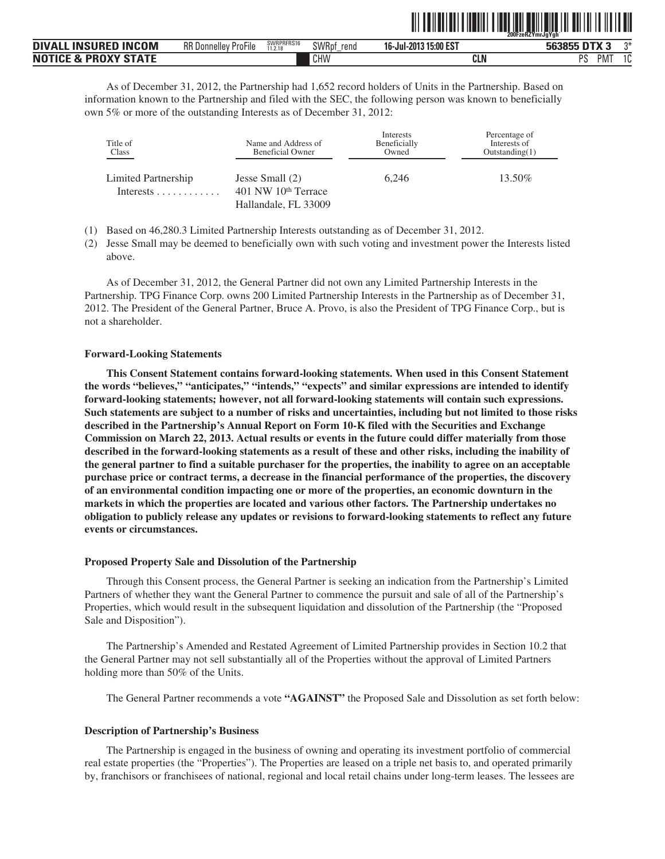|                                 |                             |                       |                      |                       | 200FzeRZYmrJaYah   |
|---------------------------------|-----------------------------|-----------------------|----------------------|-----------------------|--------------------|
| <b>DIVALL INSURED INCOM</b>     | <b>RR Donnelley ProFile</b> | SWRPRFRS16<br>11.2.18 | <b>SWRpf</b><br>rend | 16-Jul-2013 15:00 EST | ግ*<br>563855 DTX 3 |
| <b>NOTICE &amp; PROXY STATE</b> |                             |                       | CHW                  | CLN                   | PS.<br>PM.         |

<u>oli toiloiltai laikauti tuotaa loineelin oli toi toi laikaut</u>

As of December 31, 2012, the Partnership had 1,652 record holders of Units in the Partnership. Based on information known to the Partnership and filed with the SEC, the following person was known to beneficially own 5% or more of the outstanding Interests as of December 31, 2012:

| Title of<br>Class                                    | Name and Address of<br><b>Beneficial Owner</b>                     | Interests<br>Beneficially<br>Owned | Percentage of<br>Interests of<br>Outstanding(1) |
|------------------------------------------------------|--------------------------------------------------------------------|------------------------------------|-------------------------------------------------|
| Limited Partnership<br>Interests $\dots \dots \dots$ | Jesse Small (2)<br>$401$ NW $10th$ Terrace<br>Hallandale, FL 33009 | 6.246                              | 13.50%                                          |

- (1) Based on 46,280.3 Limited Partnership Interests outstanding as of December 31, 2012.
- (2) Jesse Small may be deemed to beneficially own with such voting and investment power the Interests listed above.

As of December 31, 2012, the General Partner did not own any Limited Partnership Interests in the Partnership. TPG Finance Corp. owns 200 Limited Partnership Interests in the Partnership as of December 31, 2012. The President of the General Partner, Bruce A. Provo, is also the President of TPG Finance Corp., but is not a shareholder.

#### **Forward-Looking Statements**

**This Consent Statement contains forward-looking statements. When used in this Consent Statement the words "believes," "anticipates," "intends," "expects" and similar expressions are intended to identify forward-looking statements; however, not all forward-looking statements will contain such expressions. Such statements are subject to a number of risks and uncertainties, including but not limited to those risks described in the Partnership's Annual Report on Form 10-K filed with the Securities and Exchange Commission on March 22, 2013. Actual results or events in the future could differ materially from those described in the forward-looking statements as a result of these and other risks, including the inability of the general partner to find a suitable purchaser for the properties, the inability to agree on an acceptable purchase price or contract terms, a decrease in the financial performance of the properties, the discovery of an environmental condition impacting one or more of the properties, an economic downturn in the markets in which the properties are located and various other factors. The Partnership undertakes no obligation to publicly release any updates or revisions to forward-looking statements to reflect any future events or circumstances.**

#### **Proposed Property Sale and Dissolution of the Partnership**

Through this Consent process, the General Partner is seeking an indication from the Partnership's Limited Partners of whether they want the General Partner to commence the pursuit and sale of all of the Partnership's Properties, which would result in the subsequent liquidation and dissolution of the Partnership (the "Proposed Sale and Disposition").

The Partnership's Amended and Restated Agreement of Limited Partnership provides in Section 10.2 that the General Partner may not sell substantially all of the Properties without the approval of Limited Partners holding more than 50% of the Units.

The General Partner recommends a vote **"AGAINST"** the Proposed Sale and Dissolution as set forth below:

#### **Description of Partnership's Business**

The Partnership is engaged in the business of owning and operating its investment portfolio of commercial real estate properties (the "Properties"). The Properties are leased on a triple net basis to, and operated primarily by, franchisors or franchisees of national, regional and local retail chains under long-term leases. The lessees are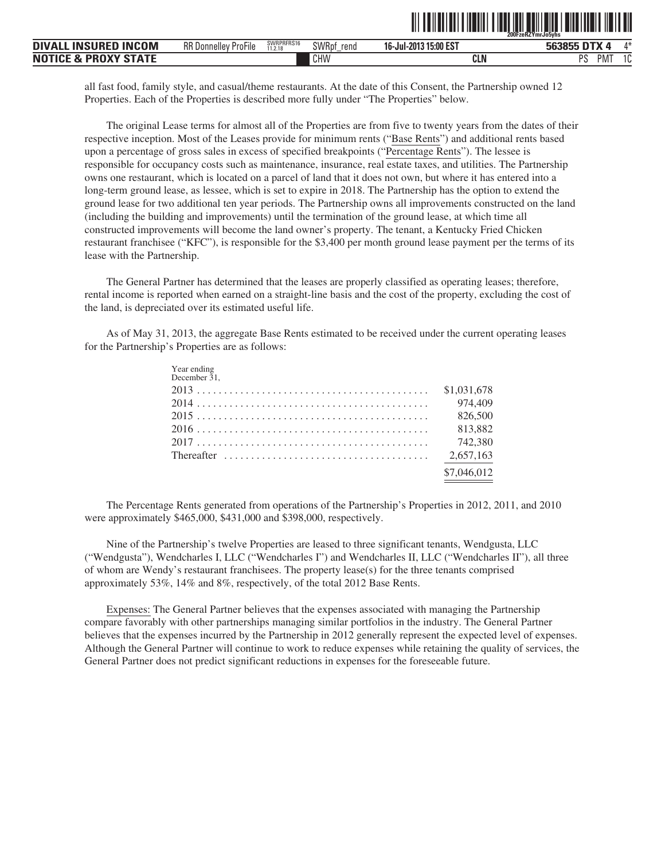|                                                |                             |                       |               |                           | 200FzeRZYmrJo5vhs |             |
|------------------------------------------------|-----------------------------|-----------------------|---------------|---------------------------|-------------------|-------------|
| <b>INCOM</b><br><b>INSURED</b><br><b>DIVAI</b> | <b>RR Donnelley ProFile</b> | SWRPRFRS16<br>11.2.18 | SWRpf<br>rend | 315:00 EST<br>16-Jul-2013 | 563855            | $A - 1$     |
| <b>, PROXY STATF</b><br><b>NOTICE &amp;</b>    |                             |                       | CHW           | CLN                       | DС<br>M<br>-ა     | $\sim$<br>v |

<u>TII TEILEITII TIENII TIENI ITI EEN TUTTU EILEITI TIENI ITI IT</u>

all fast food, family style, and casual/theme restaurants. At the date of this Consent, the Partnership owned 12 Properties. Each of the Properties is described more fully under "The Properties" below.

The original Lease terms for almost all of the Properties are from five to twenty years from the dates of their respective inception. Most of the Leases provide for minimum rents ("Base Rents") and additional rents based upon a percentage of gross sales in excess of specified breakpoints ("Percentage Rents"). The lessee is responsible for occupancy costs such as maintenance, insurance, real estate taxes, and utilities. The Partnership owns one restaurant, which is located on a parcel of land that it does not own, but where it has entered into a long-term ground lease, as lessee, which is set to expire in 2018. The Partnership has the option to extend the ground lease for two additional ten year periods. The Partnership owns all improvements constructed on the land (including the building and improvements) until the termination of the ground lease, at which time all constructed improvements will become the land owner's property. The tenant, a Kentucky Fried Chicken restaurant franchisee ("KFC"), is responsible for the \$3,400 per month ground lease payment per the terms of its lease with the Partnership.

The General Partner has determined that the leases are properly classified as operating leases; therefore, rental income is reported when earned on a straight-line basis and the cost of the property, excluding the cost of the land, is depreciated over its estimated useful life.

As of May 31, 2013, the aggregate Base Rents estimated to be received under the current operating leases for the Partnership's Properties are as follows:

| Year ending<br>December 31, |             |
|-----------------------------|-------------|
|                             |             |
|                             |             |
|                             |             |
|                             |             |
|                             |             |
|                             |             |
|                             | \$7,046,012 |
|                             |             |

The Percentage Rents generated from operations of the Partnership's Properties in 2012, 2011, and 2010 were approximately \$465,000, \$431,000 and \$398,000, respectively.

Nine of the Partnership's twelve Properties are leased to three significant tenants, Wendgusta, LLC ("Wendgusta"), Wendcharles I, LLC ("Wendcharles I") and Wendcharles II, LLC ("Wendcharles II"), all three of whom are Wendy's restaurant franchisees. The property lease(s) for the three tenants comprised approximately 53%, 14% and 8%, respectively, of the total 2012 Base Rents.

Expenses: The General Partner believes that the expenses associated with managing the Partnership compare favorably with other partnerships managing similar portfolios in the industry. The General Partner believes that the expenses incurred by the Partnership in 2012 generally represent the expected level of expenses. Although the General Partner will continue to work to reduce expenses while retaining the quality of services, the General Partner does not predict significant reductions in expenses for the foreseeable future.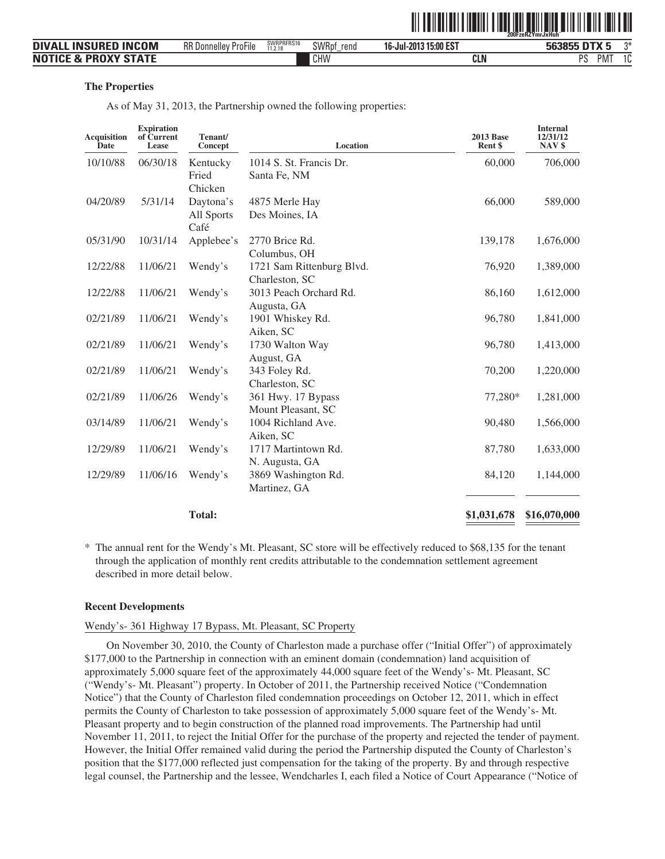|                                 |                             |                       |               |                       | 200FzeRZYmrJxHuh |                           |
|---------------------------------|-----------------------------|-----------------------|---------------|-----------------------|------------------|---------------------------|
| <b>DIVALL INSURED INCOM</b>     | <b>RR Donnelley ProFile</b> | SWRPRFRS16<br>11.2.18 | SWRpf<br>rend | 16-Jul-2013 15:00 EST | 563855 DTX 5     | ገ*                        |
| <b>NOTICE &amp; PROXY STATE</b> |                             |                       | CHW           | CLN                   | PS               | <b>PMT</b><br>$1^{\circ}$ |

#### **The Properties**

As of May 31, 2013, the Partnership owned the following properties:

| <b>Expiration</b><br>of Current<br>Lease | Tenant/<br>Concept                           | Location                                                                  | <b>2013 Base</b><br>Rent \$                                                                                                                                     | <b>Internal</b><br>12/31/12<br>NAV \$                      |
|------------------------------------------|----------------------------------------------|---------------------------------------------------------------------------|-----------------------------------------------------------------------------------------------------------------------------------------------------------------|------------------------------------------------------------|
| 06/30/18                                 | Kentucky                                     | 1014 S. St. Francis Dr.                                                   | 60,000                                                                                                                                                          | 706,000                                                    |
|                                          | Fried                                        | Santa Fe, NM                                                              |                                                                                                                                                                 |                                                            |
|                                          | Chicken                                      |                                                                           |                                                                                                                                                                 |                                                            |
| 5/31/14                                  | Daytona's                                    | 4875 Merle Hay                                                            | 66,000                                                                                                                                                          | 589,000                                                    |
|                                          | All Sports                                   |                                                                           |                                                                                                                                                                 |                                                            |
| 10/31/14                                 |                                              | 2770 Brice Rd.                                                            |                                                                                                                                                                 | 1,676,000                                                  |
|                                          |                                              | Columbus, OH                                                              |                                                                                                                                                                 |                                                            |
| 11/06/21                                 | Wendy's                                      | 1721 Sam Rittenburg Blvd.                                                 | 76,920                                                                                                                                                          | 1,389,000                                                  |
|                                          |                                              | Charleston, SC                                                            |                                                                                                                                                                 |                                                            |
| 11/06/21                                 | Wendy's                                      | 3013 Peach Orchard Rd.                                                    | 86,160                                                                                                                                                          | 1,612,000                                                  |
|                                          |                                              | Augusta, GA                                                               |                                                                                                                                                                 |                                                            |
|                                          |                                              |                                                                           |                                                                                                                                                                 | 1,841,000                                                  |
|                                          |                                              |                                                                           |                                                                                                                                                                 |                                                            |
|                                          |                                              |                                                                           |                                                                                                                                                                 | 1,413,000                                                  |
|                                          |                                              |                                                                           |                                                                                                                                                                 |                                                            |
|                                          |                                              |                                                                           |                                                                                                                                                                 | 1,220,000                                                  |
|                                          |                                              |                                                                           |                                                                                                                                                                 | 1,281,000                                                  |
|                                          |                                              |                                                                           |                                                                                                                                                                 |                                                            |
| 11/06/21                                 |                                              | 1004 Richland Ave.                                                        |                                                                                                                                                                 | 1,566,000                                                  |
|                                          |                                              | Aiken, SC                                                                 |                                                                                                                                                                 |                                                            |
| 11/06/21                                 | Wendy's                                      | 1717 Martintown Rd.                                                       | 87,780                                                                                                                                                          | 1,633,000                                                  |
|                                          |                                              | N. Augusta, GA                                                            |                                                                                                                                                                 |                                                            |
| 11/06/16                                 | Wendy's                                      | 3869 Washington Rd.                                                       | 84,120                                                                                                                                                          | 1,144,000                                                  |
|                                          |                                              | Martinez, GA                                                              |                                                                                                                                                                 |                                                            |
|                                          | <b>Total:</b>                                |                                                                           | \$1,031,678                                                                                                                                                     | \$16,070,000                                               |
|                                          | 11/06/21<br>11/06/21<br>11/06/21<br>11/06/26 | Café<br>Applebee's<br>Wendy's<br>Wendy's<br>Wendy's<br>Wendy's<br>Wendy's | Des Moines, IA<br>1901 Whiskey Rd.<br>Aiken, SC<br>1730 Walton Way<br>August, GA<br>343 Foley Rd.<br>Charleston, SC<br>361 Hwy. 17 Bypass<br>Mount Pleasant, SC | 139,178<br>96,780<br>96,780<br>70,200<br>77,280*<br>90,480 |

\* The annual rent for the Wendy's Mt. Pleasant, SC store will be effectively reduced to \$68,135 for the tenant through the application of monthly rent credits attributable to the condemnation settlement agreement described in more detail below.

#### **Recent Developments**

#### Wendy's- 361 Highway 17 Bypass, Mt. Pleasant, SC Property

On November 30, 2010, the County of Charleston made a purchase offer ("Initial Offer") of approximately \$177,000 to the Partnership in connection with an eminent domain (condemnation) land acquisition of approximately 5,000 square feet of the approximately 44,000 square feet of the Wendy's- Mt. Pleasant, SC ("Wendy's- Mt. Pleasant") property. In October of 2011, the Partnership received Notice ("Condemnation Notice") that the County of Charleston filed condemnation proceedings on October 12, 2011, which in effect permits the County of Charleston to take possession of approximately 5,000 square feet of the Wendy's- Mt. Pleasant property and to begin construction of the planned road improvements. The Partnership had until November 11, 2011, to reject the Initial Offer for the purchase of the property and rejected the tender of payment. However, the Initial Offer remained valid during the period the Partnership disputed the County of Charleston's position that the \$177,000 reflected just compensation for the taking of the property. By and through respective legal counsel, the Partnership and the lessee, Wendcharles I, each filed a Notice of Court Appearance ("Notice of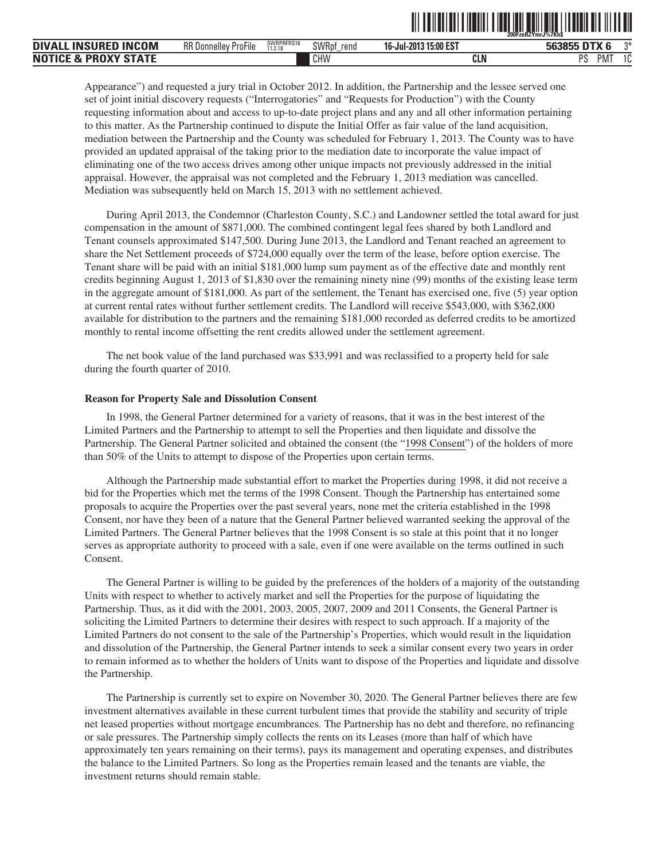|                                                |                             |                       |               |                       | 200FzeRZYmrJ%7Kh\$ |             |
|------------------------------------------------|-----------------------------|-----------------------|---------------|-----------------------|--------------------|-------------|
| <b>INSURED</b><br><b>INCOM</b><br><b>DIVAL</b> | <b>RR Donnelley ProFile</b> | SWRPRFRS16<br>11.2.18 | SWRpf<br>rend | 16-Jul-2013 15:00 EST | 563855 DTX         | $n*$        |
| <b>PROXY STATE</b><br><b>NOTICE &amp;</b>      |                             |                       | CHW           | CLN                   | DС<br>M<br>-ა      | $\sim$<br>u |

**THE REVIEW FOR THE RIVER REPORT OF REAL PROPERTY AND ALL IN THE RIVER AND REAL PROPERTY AND RELEASED FOR THE RIVER** 

Appearance") and requested a jury trial in October 2012. In addition, the Partnership and the lessee served one set of joint initial discovery requests ("Interrogatories" and "Requests for Production") with the County requesting information about and access to up-to-date project plans and any and all other information pertaining to this matter. As the Partnership continued to dispute the Initial Offer as fair value of the land acquisition, mediation between the Partnership and the County was scheduled for February 1, 2013. The County was to have provided an updated appraisal of the taking prior to the mediation date to incorporate the value impact of eliminating one of the two access drives among other unique impacts not previously addressed in the initial appraisal. However, the appraisal was not completed and the February 1, 2013 mediation was cancelled. Mediation was subsequently held on March 15, 2013 with no settlement achieved.

During April 2013, the Condemnor (Charleston County, S.C.) and Landowner settled the total award for just compensation in the amount of \$871,000. The combined contingent legal fees shared by both Landlord and Tenant counsels approximated \$147,500. During June 2013, the Landlord and Tenant reached an agreement to share the Net Settlement proceeds of \$724,000 equally over the term of the lease, before option exercise. The Tenant share will be paid with an initial \$181,000 lump sum payment as of the effective date and monthly rent credits beginning August 1, 2013 of \$1,830 over the remaining ninety nine (99) months of the existing lease term in the aggregate amount of \$181,000. As part of the settlement, the Tenant has exercised one, five (5) year option at current rental rates without further settlement credits. The Landlord will receive \$543,000, with \$362,000 available for distribution to the partners and the remaining \$181,000 recorded as deferred credits to be amortized monthly to rental income offsetting the rent credits allowed under the settlement agreement.

The net book value of the land purchased was \$33,991 and was reclassified to a property held for sale during the fourth quarter of 2010.

#### **Reason for Property Sale and Dissolution Consent**

In 1998, the General Partner determined for a variety of reasons, that it was in the best interest of the Limited Partners and the Partnership to attempt to sell the Properties and then liquidate and dissolve the Partnership. The General Partner solicited and obtained the consent (the "1998 Consent") of the holders of more than 50% of the Units to attempt to dispose of the Properties upon certain terms.

Although the Partnership made substantial effort to market the Properties during 1998, it did not receive a bid for the Properties which met the terms of the 1998 Consent. Though the Partnership has entertained some proposals to acquire the Properties over the past several years, none met the criteria established in the 1998 Consent, nor have they been of a nature that the General Partner believed warranted seeking the approval of the Limited Partners. The General Partner believes that the 1998 Consent is so stale at this point that it no longer serves as appropriate authority to proceed with a sale, even if one were available on the terms outlined in such Consent.

The General Partner is willing to be guided by the preferences of the holders of a majority of the outstanding Units with respect to whether to actively market and sell the Properties for the purpose of liquidating the Partnership. Thus, as it did with the 2001, 2003, 2005, 2007, 2009 and 2011 Consents, the General Partner is soliciting the Limited Partners to determine their desires with respect to such approach. If a majority of the Limited Partners do not consent to the sale of the Partnership's Properties, which would result in the liquidation and dissolution of the Partnership, the General Partner intends to seek a similar consent every two years in order to remain informed as to whether the holders of Units want to dispose of the Properties and liquidate and dissolve the Partnership.

The Partnership is currently set to expire on November 30, 2020. The General Partner believes there are few investment alternatives available in these current turbulent times that provide the stability and security of triple net leased properties without mortgage encumbrances. The Partnership has no debt and therefore, no refinancing or sale pressures. The Partnership simply collects the rents on its Leases (more than half of which have approximately ten years remaining on their terms), pays its management and operating expenses, and distributes the balance to the Limited Partners. So long as the Properties remain leased and the tenants are viable, the investment returns should remain stable.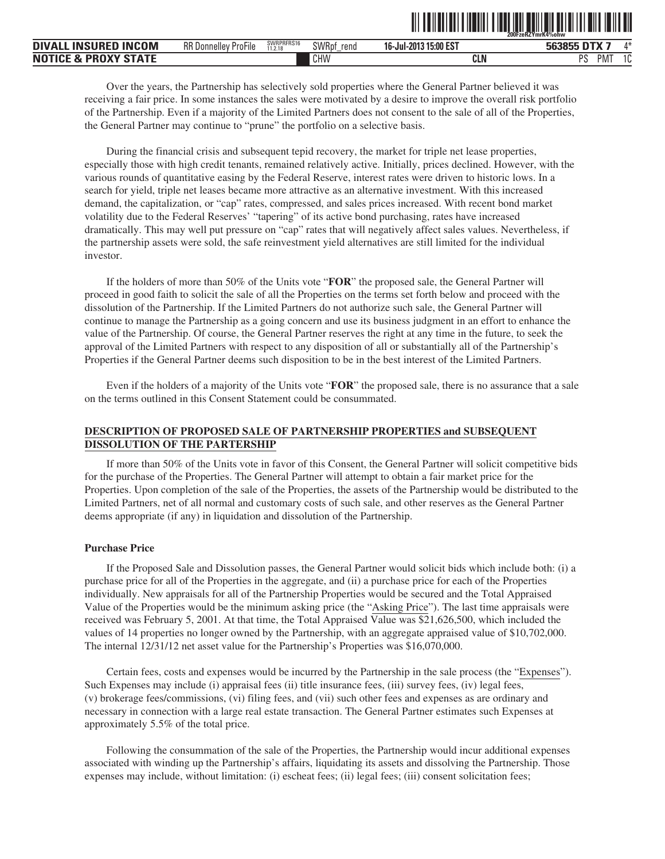|                                                                |                             |                       |                    |                             | 200FzeRZYmrK4%ohw |              |
|----------------------------------------------------------------|-----------------------------|-----------------------|--------------------|-----------------------------|-------------------|--------------|
| <b>INCOM</b><br><b>INSURED</b><br><b>DIVA</b>                  | <b>RR Donnelley ProFile</b> | SWRPRFRS16<br>11.2.18 | SWRpf<br>rend<br>- | 13 15:00 EST<br>16-Jul-2013 | ECOOL<br>.        | $A \Delta L$ |
| <b>PROXV</b><br>CTATF<br>N <sub>0</sub><br>$\bullet$<br>$\sim$ |                             |                       | CHW                | CLN                         | DC<br>M<br>ن َ    | $\sim$<br>u  |

ˆ200FzeRZYmrK4%ohwŠ **200FzeRZYmrK4%ohw**

Over the years, the Partnership has selectively sold properties where the General Partner believed it was receiving a fair price. In some instances the sales were motivated by a desire to improve the overall risk portfolio of the Partnership. Even if a majority of the Limited Partners does not consent to the sale of all of the Properties, the General Partner may continue to "prune" the portfolio on a selective basis.

During the financial crisis and subsequent tepid recovery, the market for triple net lease properties, especially those with high credit tenants, remained relatively active. Initially, prices declined. However, with the various rounds of quantitative easing by the Federal Reserve, interest rates were driven to historic lows. In a search for yield, triple net leases became more attractive as an alternative investment. With this increased demand, the capitalization, or "cap" rates, compressed, and sales prices increased. With recent bond market volatility due to the Federal Reserves' "tapering" of its active bond purchasing, rates have increased dramatically. This may well put pressure on "cap" rates that will negatively affect sales values. Nevertheless, if the partnership assets were sold, the safe reinvestment yield alternatives are still limited for the individual investor.

If the holders of more than 50% of the Units vote "**FOR**" the proposed sale, the General Partner will proceed in good faith to solicit the sale of all the Properties on the terms set forth below and proceed with the dissolution of the Partnership. If the Limited Partners do not authorize such sale, the General Partner will continue to manage the Partnership as a going concern and use its business judgment in an effort to enhance the value of the Partnership. Of course, the General Partner reserves the right at any time in the future, to seek the approval of the Limited Partners with respect to any disposition of all or substantially all of the Partnership's Properties if the General Partner deems such disposition to be in the best interest of the Limited Partners.

Even if the holders of a majority of the Units vote "**FOR**" the proposed sale, there is no assurance that a sale on the terms outlined in this Consent Statement could be consummated.

# **DESCRIPTION OF PROPOSED SALE OF PARTNERSHIP PROPERTIES and SUBSEQUENT DISSOLUTION OF THE PARTERSHIP**

If more than 50% of the Units vote in favor of this Consent, the General Partner will solicit competitive bids for the purchase of the Properties. The General Partner will attempt to obtain a fair market price for the Properties. Upon completion of the sale of the Properties, the assets of the Partnership would be distributed to the Limited Partners, net of all normal and customary costs of such sale, and other reserves as the General Partner deems appropriate (if any) in liquidation and dissolution of the Partnership.

#### **Purchase Price**

If the Proposed Sale and Dissolution passes, the General Partner would solicit bids which include both: (i) a purchase price for all of the Properties in the aggregate, and (ii) a purchase price for each of the Properties individually. New appraisals for all of the Partnership Properties would be secured and the Total Appraised Value of the Properties would be the minimum asking price (the "Asking Price"). The last time appraisals were received was February 5, 2001. At that time, the Total Appraised Value was \$21,626,500, which included the values of 14 properties no longer owned by the Partnership, with an aggregate appraised value of \$10,702,000. The internal 12/31/12 net asset value for the Partnership's Properties was \$16,070,000.

Certain fees, costs and expenses would be incurred by the Partnership in the sale process (the "Expenses"). Such Expenses may include (i) appraisal fees (ii) title insurance fees, (iii) survey fees, (iv) legal fees, (v) brokerage fees/commissions, (vi) filing fees, and (vii) such other fees and expenses as are ordinary and necessary in connection with a large real estate transaction. The General Partner estimates such Expenses at approximately 5.5% of the total price.

Following the consummation of the sale of the Properties, the Partnership would incur additional expenses associated with winding up the Partnership's affairs, liquidating its assets and dissolving the Partnership. Those expenses may include, without limitation: (i) escheat fees; (ii) legal fees; (iii) consent solicitation fees;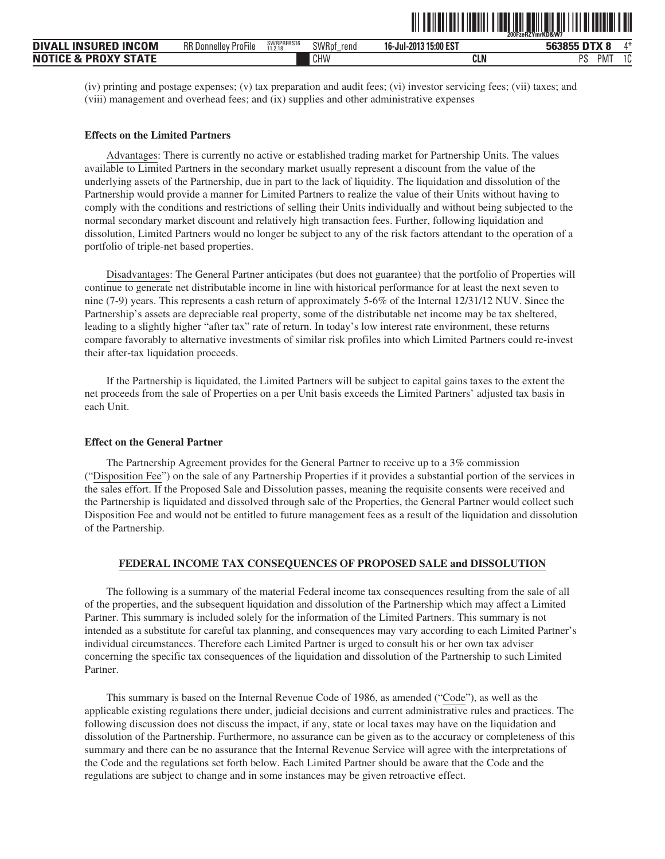| <b>DIVALL INSURED INCOM</b>     | <b>RR Donnelley ProFile</b> | SWRPRFRS16<br>11.2.18 | SWRpt<br>rend | 16-Jul-2013 15:00 EST | 563855 DTX 8         | ⁄l*            |
|---------------------------------|-----------------------------|-----------------------|---------------|-----------------------|----------------------|----------------|
| <b>NOTICE &amp; PROXY STATE</b> |                             |                       | CHW           | CLN                   | DC<br>PM <sub></sub> | $\Delta$<br>ΙU |

ˆ200FzeRZYmrKD&W7‹Š **200FzeRZYmrKD&W7**

(iv) printing and postage expenses; (v) tax preparation and audit fees; (vi) investor servicing fees; (vii) taxes; and (viii) management and overhead fees; and (ix) supplies and other administrative expenses

#### **Effects on the Limited Partners**

Advantages: There is currently no active or established trading market for Partnership Units. The values available to Limited Partners in the secondary market usually represent a discount from the value of the underlying assets of the Partnership, due in part to the lack of liquidity. The liquidation and dissolution of the Partnership would provide a manner for Limited Partners to realize the value of their Units without having to comply with the conditions and restrictions of selling their Units individually and without being subjected to the normal secondary market discount and relatively high transaction fees. Further, following liquidation and dissolution, Limited Partners would no longer be subject to any of the risk factors attendant to the operation of a portfolio of triple-net based properties.

Disadvantages: The General Partner anticipates (but does not guarantee) that the portfolio of Properties will continue to generate net distributable income in line with historical performance for at least the next seven to nine (7-9) years. This represents a cash return of approximately 5-6% of the Internal 12/31/12 NUV. Since the Partnership's assets are depreciable real property, some of the distributable net income may be tax sheltered, leading to a slightly higher "after tax" rate of return. In today's low interest rate environment, these returns compare favorably to alternative investments of similar risk profiles into which Limited Partners could re-invest their after-tax liquidation proceeds.

If the Partnership is liquidated, the Limited Partners will be subject to capital gains taxes to the extent the net proceeds from the sale of Properties on a per Unit basis exceeds the Limited Partners' adjusted tax basis in each Unit.

### **Effect on the General Partner**

The Partnership Agreement provides for the General Partner to receive up to a 3% commission ("Disposition Fee") on the sale of any Partnership Properties if it provides a substantial portion of the services in the sales effort. If the Proposed Sale and Dissolution passes, meaning the requisite consents were received and the Partnership is liquidated and dissolved through sale of the Properties, the General Partner would collect such Disposition Fee and would not be entitled to future management fees as a result of the liquidation and dissolution of the Partnership.

#### **FEDERAL INCOME TAX CONSEQUENCES OF PROPOSED SALE and DISSOLUTION**

The following is a summary of the material Federal income tax consequences resulting from the sale of all of the properties, and the subsequent liquidation and dissolution of the Partnership which may affect a Limited Partner. This summary is included solely for the information of the Limited Partners. This summary is not intended as a substitute for careful tax planning, and consequences may vary according to each Limited Partner's individual circumstances. Therefore each Limited Partner is urged to consult his or her own tax adviser concerning the specific tax consequences of the liquidation and dissolution of the Partnership to such Limited Partner.

This summary is based on the Internal Revenue Code of 1986, as amended ("Code"), as well as the applicable existing regulations there under, judicial decisions and current administrative rules and practices. The following discussion does not discuss the impact, if any, state or local taxes may have on the liquidation and dissolution of the Partnership. Furthermore, no assurance can be given as to the accuracy or completeness of this summary and there can be no assurance that the Internal Revenue Service will agree with the interpretations of the Code and the regulations set forth below. Each Limited Partner should be aware that the Code and the regulations are subject to change and in some instances may be given retroactive effect.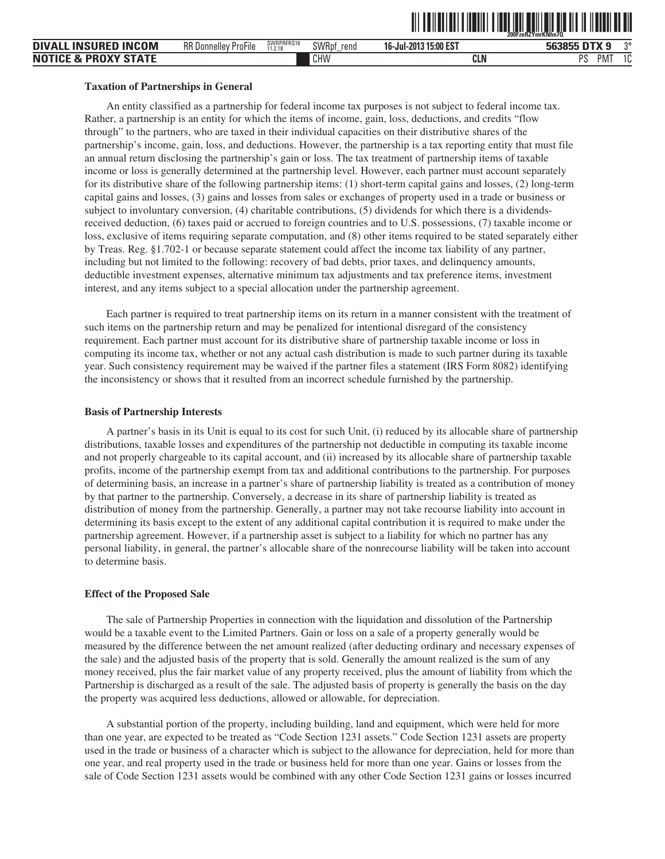| <b>INCOM</b><br>DIVALL<br><b>INSURED</b>  | <b>RR Donnelley ProFile</b> | SWRPRFRS16<br>11.2.18 | SWRpt<br>rend<br>- | 16-Jul-2013 15:00 EST | nty a<br><b>ີ</b> 63855 ∟<br>bŀ<br>∼ | ∩Ж           |
|-------------------------------------------|-----------------------------|-----------------------|--------------------|-----------------------|--------------------------------------|--------------|
| <b>NOTICE &amp;</b><br><b>PROXY STATE</b> |                             |                       | CHW                | <b>CLN</b>            | DC<br>PM <sup>-</sup>                | $\sim$<br>۱u |

ˆ200FzeRZYmrKNhn7QŠ **200FzeRZYmrKNhn7Q**

#### **Taxation of Partnerships in General**

An entity classified as a partnership for federal income tax purposes is not subject to federal income tax. Rather, a partnership is an entity for which the items of income, gain, loss, deductions, and credits "flow through" to the partners, who are taxed in their individual capacities on their distributive shares of the partnership's income, gain, loss, and deductions. However, the partnership is a tax reporting entity that must file an annual return disclosing the partnership's gain or loss. The tax treatment of partnership items of taxable income or loss is generally determined at the partnership level. However, each partner must account separately for its distributive share of the following partnership items: (1) short-term capital gains and losses, (2) long-term capital gains and losses, (3) gains and losses from sales or exchanges of property used in a trade or business or subject to involuntary conversion, (4) charitable contributions, (5) dividends for which there is a dividendsreceived deduction, (6) taxes paid or accrued to foreign countries and to U.S. possessions, (7) taxable income or loss, exclusive of items requiring separate computation, and (8) other items required to be stated separately either by Treas. Reg. §1.702-1 or because separate statement could affect the income tax liability of any partner, including but not limited to the following: recovery of bad debts, prior taxes, and delinquency amounts, deductible investment expenses, alternative minimum tax adjustments and tax preference items, investment interest, and any items subject to a special allocation under the partnership agreement.

Each partner is required to treat partnership items on its return in a manner consistent with the treatment of such items on the partnership return and may be penalized for intentional disregard of the consistency requirement. Each partner must account for its distributive share of partnership taxable income or loss in computing its income tax, whether or not any actual cash distribution is made to such partner during its taxable year. Such consistency requirement may be waived if the partner files a statement (IRS Form 8082) identifying the inconsistency or shows that it resulted from an incorrect schedule furnished by the partnership.

#### **Basis of Partnership Interests**

A partner's basis in its Unit is equal to its cost for such Unit, (i) reduced by its allocable share of partnership distributions, taxable losses and expenditures of the partnership not deductible in computing its taxable income and not properly chargeable to its capital account, and (ii) increased by its allocable share of partnership taxable profits, income of the partnership exempt from tax and additional contributions to the partnership. For purposes of determining basis, an increase in a partner's share of partnership liability is treated as a contribution of money by that partner to the partnership. Conversely, a decrease in its share of partnership liability is treated as distribution of money from the partnership. Generally, a partner may not take recourse liability into account in determining its basis except to the extent of any additional capital contribution it is required to make under the partnership agreement. However, if a partnership asset is subject to a liability for which no partner has any personal liability, in general, the partner's allocable share of the nonrecourse liability will be taken into account to determine basis.

#### **Effect of the Proposed Sale**

The sale of Partnership Properties in connection with the liquidation and dissolution of the Partnership would be a taxable event to the Limited Partners. Gain or loss on a sale of a property generally would be measured by the difference between the net amount realized (after deducting ordinary and necessary expenses of the sale) and the adjusted basis of the property that is sold. Generally the amount realized is the sum of any money received, plus the fair market value of any property received, plus the amount of liability from which the Partnership is discharged as a result of the sale. The adjusted basis of property is generally the basis on the day the property was acquired less deductions, allowed or allowable, for depreciation.

A substantial portion of the property, including building, land and equipment, which were held for more than one year, are expected to be treated as "Code Section 1231 assets." Code Section 1231 assets are property used in the trade or business of a character which is subject to the allowance for depreciation, held for more than one year, and real property used in the trade or business held for more than one year. Gains or losses from the sale of Code Section 1231 assets would be combined with any other Code Section 1231 gains or losses incurred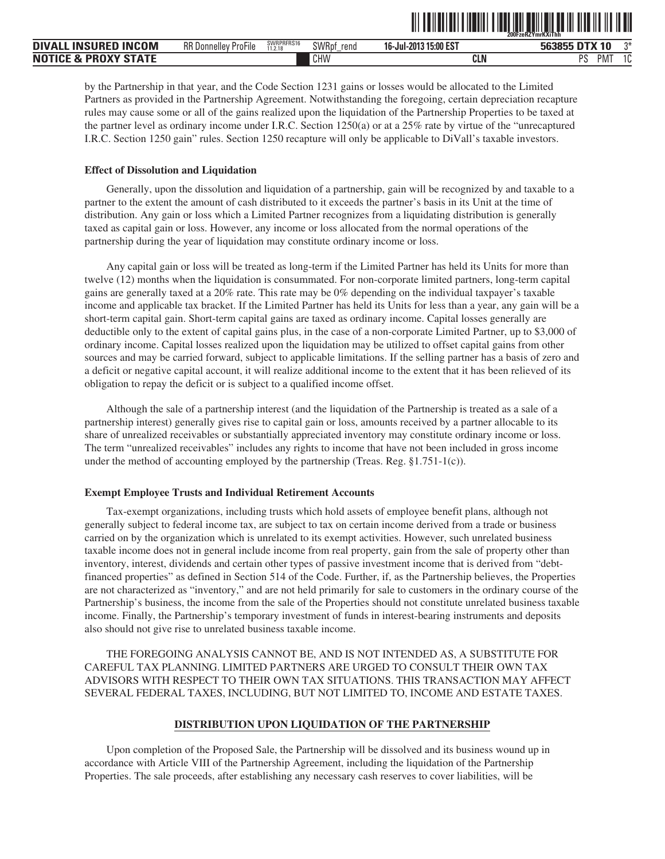|                                                     |                                          |                       |               |                            | 200FzeRZYmrKXiThh                                      |             |
|-----------------------------------------------------|------------------------------------------|-----------------------|---------------|----------------------------|--------------------------------------------------------|-------------|
| <b>INCOM</b><br><b>DIVA</b><br>LL INSURED           | $-1$<br><b>RR</b> Donnelley<br>' ProFile | SWRPRFRS16<br>11.2.18 | SWRpf<br>rend | 3 15:00 EST<br>16-Jul-2013 | <b>DTX</b><br>563855<br>$\overline{\phantom{a}}$<br>1U | $n*$        |
| <b>PROXY STATE</b><br><b>NOTICE</b><br>$\mathbf{8}$ |                                          |                       | CHW           | <b>CLN</b>                 | PS<br>M                                                | $\sim$<br>u |

ˆ200FzeRZYmrKXiThhŠ **200FzeRZYmrKXiThh**

by the Partnership in that year, and the Code Section 1231 gains or losses would be allocated to the Limited Partners as provided in the Partnership Agreement. Notwithstanding the foregoing, certain depreciation recapture rules may cause some or all of the gains realized upon the liquidation of the Partnership Properties to be taxed at the partner level as ordinary income under I.R.C. Section 1250(a) or at a 25% rate by virtue of the "unrecaptured I.R.C. Section 1250 gain" rules. Section 1250 recapture will only be applicable to DiVall's taxable investors.

#### **Effect of Dissolution and Liquidation**

Generally, upon the dissolution and liquidation of a partnership, gain will be recognized by and taxable to a partner to the extent the amount of cash distributed to it exceeds the partner's basis in its Unit at the time of distribution. Any gain or loss which a Limited Partner recognizes from a liquidating distribution is generally taxed as capital gain or loss. However, any income or loss allocated from the normal operations of the partnership during the year of liquidation may constitute ordinary income or loss.

Any capital gain or loss will be treated as long-term if the Limited Partner has held its Units for more than twelve (12) months when the liquidation is consummated. For non-corporate limited partners, long-term capital gains are generally taxed at a 20% rate. This rate may be 0% depending on the individual taxpayer's taxable income and applicable tax bracket. If the Limited Partner has held its Units for less than a year, any gain will be a short-term capital gain. Short-term capital gains are taxed as ordinary income. Capital losses generally are deductible only to the extent of capital gains plus, in the case of a non-corporate Limited Partner, up to \$3,000 of ordinary income. Capital losses realized upon the liquidation may be utilized to offset capital gains from other sources and may be carried forward, subject to applicable limitations. If the selling partner has a basis of zero and a deficit or negative capital account, it will realize additional income to the extent that it has been relieved of its obligation to repay the deficit or is subject to a qualified income offset.

Although the sale of a partnership interest (and the liquidation of the Partnership is treated as a sale of a partnership interest) generally gives rise to capital gain or loss, amounts received by a partner allocable to its share of unrealized receivables or substantially appreciated inventory may constitute ordinary income or loss. The term "unrealized receivables" includes any rights to income that have not been included in gross income under the method of accounting employed by the partnership (Treas. Reg. §1.751-1(c)).

#### **Exempt Employee Trusts and Individual Retirement Accounts**

Tax-exempt organizations, including trusts which hold assets of employee benefit plans, although not generally subject to federal income tax, are subject to tax on certain income derived from a trade or business carried on by the organization which is unrelated to its exempt activities. However, such unrelated business taxable income does not in general include income from real property, gain from the sale of property other than inventory, interest, dividends and certain other types of passive investment income that is derived from "debtfinanced properties" as defined in Section 514 of the Code. Further, if, as the Partnership believes, the Properties are not characterized as "inventory," and are not held primarily for sale to customers in the ordinary course of the Partnership's business, the income from the sale of the Properties should not constitute unrelated business taxable income. Finally, the Partnership's temporary investment of funds in interest-bearing instruments and deposits also should not give rise to unrelated business taxable income.

THE FOREGOING ANALYSIS CANNOT BE, AND IS NOT INTENDED AS, A SUBSTITUTE FOR CAREFUL TAX PLANNING. LIMITED PARTNERS ARE URGED TO CONSULT THEIR OWN TAX ADVISORS WITH RESPECT TO THEIR OWN TAX SITUATIONS. THIS TRANSACTION MAY AFFECT SEVERAL FEDERAL TAXES, INCLUDING, BUT NOT LIMITED TO, INCOME AND ESTATE TAXES.

#### **DISTRIBUTION UPON LIQUIDATION OF THE PARTNERSHIP**

Upon completion of the Proposed Sale, the Partnership will be dissolved and its business wound up in accordance with Article VIII of the Partnership Agreement, including the liquidation of the Partnership Properties. The sale proceeds, after establishing any necessary cash reserves to cover liabilities, will be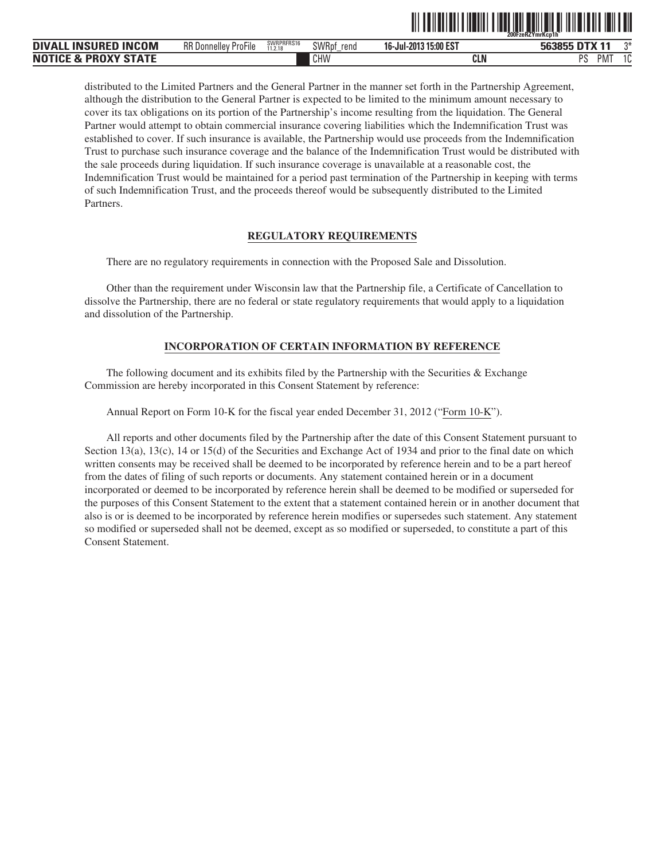|                                |                                                     |                       |                      |                           | ------------------------------------<br>200FzeRZYmrKcp1h |              |
|--------------------------------|-----------------------------------------------------|-----------------------|----------------------|---------------------------|----------------------------------------------------------|--------------|
| DIVALL INSURED<br><b>INCOM</b> | $- \cdot \cdot$<br><b>RR</b> Donnelley<br>' ProFile | SWRPRFRS16<br>11.2.18 | SWRpt<br>rend<br>$-$ | 315:00 EST<br>16-Jul-2013 | DTX 11 د<br>563855                                       | つ米           |
| Notice & Proxy State           |                                                     |                       | CHW                  | CLN                       | DС<br>PM.                                                | $\sim$<br>ιu |

<u>oli od indijelo i predstava sla</u>da i predstava i predstava i predstava i predstava.

distributed to the Limited Partners and the General Partner in the manner set forth in the Partnership Agreement, although the distribution to the General Partner is expected to be limited to the minimum amount necessary to cover its tax obligations on its portion of the Partnership's income resulting from the liquidation. The General Partner would attempt to obtain commercial insurance covering liabilities which the Indemnification Trust was established to cover. If such insurance is available, the Partnership would use proceeds from the Indemnification Trust to purchase such insurance coverage and the balance of the Indemnification Trust would be distributed with the sale proceeds during liquidation. If such insurance coverage is unavailable at a reasonable cost, the Indemnification Trust would be maintained for a period past termination of the Partnership in keeping with terms of such Indemnification Trust, and the proceeds thereof would be subsequently distributed to the Limited Partners.

#### **REGULATORY REQUIREMENTS**

There are no regulatory requirements in connection with the Proposed Sale and Dissolution.

Other than the requirement under Wisconsin law that the Partnership file, a Certificate of Cancellation to dissolve the Partnership, there are no federal or state regulatory requirements that would apply to a liquidation and dissolution of the Partnership.

# **INCORPORATION OF CERTAIN INFORMATION BY REFERENCE**

The following document and its exhibits filed by the Partnership with the Securities  $&$  Exchange Commission are hereby incorporated in this Consent Statement by reference:

Annual Report on Form 10-K for the fiscal year ended December 31, 2012 ("Form 10-K").

All reports and other documents filed by the Partnership after the date of this Consent Statement pursuant to Section 13(a), 13(c), 14 or 15(d) of the Securities and Exchange Act of 1934 and prior to the final date on which written consents may be received shall be deemed to be incorporated by reference herein and to be a part hereof from the dates of filing of such reports or documents. Any statement contained herein or in a document incorporated or deemed to be incorporated by reference herein shall be deemed to be modified or superseded for the purposes of this Consent Statement to the extent that a statement contained herein or in another document that also is or is deemed to be incorporated by reference herein modifies or supersedes such statement. Any statement so modified or superseded shall not be deemed, except as so modified or superseded, to constitute a part of this Consent Statement.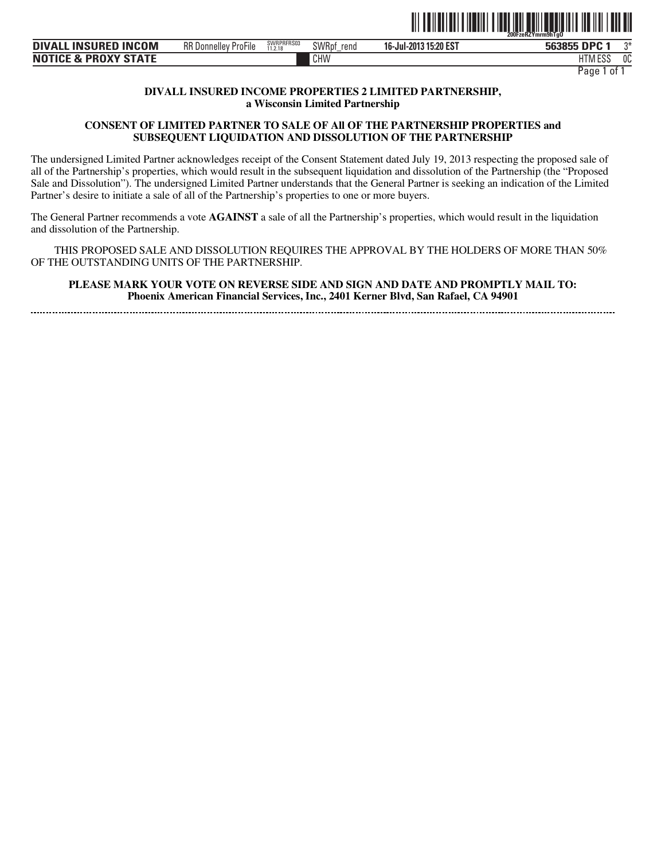

| <b>DIVALL INSURED INCOM</b>     | RR D<br>' ProFile<br>. Donnellev | SWRPRFRS03<br>11.2.18 | <b>SWRpt</b><br>rend | 16-Jul-2013 15:20 EST | <b>DPC</b><br>563855 | ∩* |
|---------------------------------|----------------------------------|-----------------------|----------------------|-----------------------|----------------------|----|
| <b>NOTICE &amp; PROXY STATE</b> |                                  |                       | CHW                  |                       | roc<br>HIM ESS       | 0C |

Page 1 of 1

# **DIVALL INSURED INCOME PROPERTIES 2 LIMITED PARTNERSHIP, a Wisconsin Limited Partnership**

# **CONSENT OF LIMITED PARTNER TO SALE OF All OF THE PARTNERSHIP PROPERTIES and SUBSEQUENT LIQUIDATION AND DISSOLUTION OF THE PARTNERSHIP**

The undersigned Limited Partner acknowledges receipt of the Consent Statement dated July 19, 2013 respecting the proposed sale of all of the Partnership's properties, which would result in the subsequent liquidation and dissolution of the Partnership (the "Proposed Sale and Dissolution"). The undersigned Limited Partner understands that the General Partner is seeking an indication of the Limited Partner's desire to initiate a sale of all of the Partnership's properties to one or more buyers.

The General Partner recommends a vote **AGAINST** a sale of all the Partnership's properties, which would result in the liquidation and dissolution of the Partnership.

THIS PROPOSED SALE AND DISSOLUTION REQUIRES THE APPROVAL BY THE HOLDERS OF MORE THAN 50% OF THE OUTSTANDING UNITS OF THE PARTNERSHIP.

**PLEASE MARK YOUR VOTE ON REVERSE SIDE AND SIGN AND DATE AND PROMPTLY MAIL TO: Phoenix American Financial Services, Inc., 2401 Kerner Blvd, San Rafael, CA 94901**